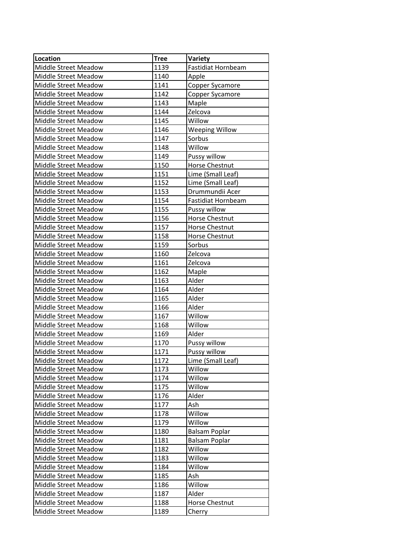| Location             | <b>Tree</b> | Variety                |
|----------------------|-------------|------------------------|
| Middle Street Meadow | 1139        | Fastidiat Hornbeam     |
| Middle Street Meadow | 1140        | Apple                  |
| Middle Street Meadow | 1141        | <b>Copper Sycamore</b> |
| Middle Street Meadow | 1142        | Copper Sycamore        |
| Middle Street Meadow | 1143        | Maple                  |
| Middle Street Meadow | 1144        | Zelcova                |
| Middle Street Meadow | 1145        | Willow                 |
| Middle Street Meadow | 1146        | <b>Weeping Willow</b>  |
| Middle Street Meadow | 1147        | Sorbus                 |
| Middle Street Meadow | 1148        | Willow                 |
| Middle Street Meadow | 1149        | Pussy willow           |
| Middle Street Meadow | 1150        | Horse Chestnut         |
| Middle Street Meadow | 1151        | Lime (Small Leaf)      |
| Middle Street Meadow | 1152        | Lime (Small Leaf)      |
| Middle Street Meadow | 1153        | Drummundii Acer        |
| Middle Street Meadow | 1154        | Fastidiat Hornbeam     |
| Middle Street Meadow | 1155        | Pussy willow           |
| Middle Street Meadow | 1156        | <b>Horse Chestnut</b>  |
| Middle Street Meadow | 1157        | Horse Chestnut         |
| Middle Street Meadow | 1158        | <b>Horse Chestnut</b>  |
| Middle Street Meadow | 1159        | Sorbus                 |
| Middle Street Meadow | 1160        | Zelcova                |
| Middle Street Meadow | 1161        | Zelcova                |
| Middle Street Meadow | 1162        | Maple                  |
| Middle Street Meadow | 1163        | Alder                  |
| Middle Street Meadow | 1164        | Alder                  |
| Middle Street Meadow | 1165        | Alder                  |
| Middle Street Meadow | 1166        | Alder                  |
| Middle Street Meadow | 1167        | Willow                 |
| Middle Street Meadow | 1168        | Willow                 |
| Middle Street Meadow | 1169        | Alder                  |
| Middle Street Meadow | 1170        | Pussy willow           |
| Middle Street Meadow | 1171        | Pussy willow           |
| Middle Street Meadow | 1172        | Lime (Small Leaf)      |
| Middle Street Meadow | 1173        | Willow                 |
| Middle Street Meadow | 1174        | Willow                 |
| Middle Street Meadow | 1175        | Willow                 |
| Middle Street Meadow | 1176        | Alder                  |
| Middle Street Meadow | 1177        | Ash                    |
| Middle Street Meadow | 1178        | Willow                 |
| Middle Street Meadow | 1179        | Willow                 |
| Middle Street Meadow | 1180        | <b>Balsam Poplar</b>   |
| Middle Street Meadow | 1181        | <b>Balsam Poplar</b>   |
| Middle Street Meadow | 1182        | Willow                 |
| Middle Street Meadow | 1183        | Willow                 |
| Middle Street Meadow | 1184        | Willow                 |
| Middle Street Meadow | 1185        | Ash                    |
| Middle Street Meadow | 1186        | Willow                 |
| Middle Street Meadow | 1187        | Alder                  |
| Middle Street Meadow | 1188        | Horse Chestnut         |
| Middle Street Meadow | 1189        | Cherry                 |